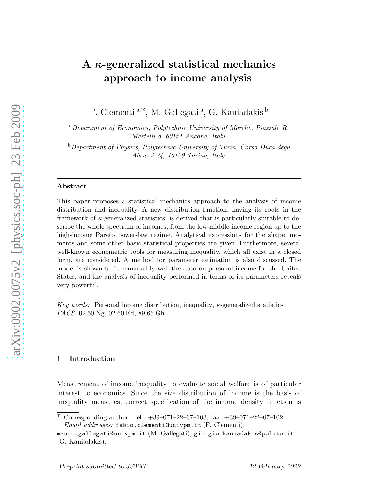# A  $\kappa$ -generalized statistical mechanics approach to income analysis

F. Clementi<sup>a,\*</sup>, M. Gallegati<sup>a</sup>, G. Kaniadakis <sup>b</sup>

<sup>a</sup>*Department of Economics, Polytechnic University of Marche, Piazzale R. Martelli 8, 60121 Ancona, Italy*

<sup>b</sup>*Department of Physics, Polytechnic University of Turin, Corso Duca degli Abruzzi 24, 10129 Torino, Italy*

#### Abstract

This paper proposes a statistical mechanics approach to the analysis of income distribution and inequality. A new distribution function, having its roots in the framework of  $\kappa$ -generalized statistics, is derived that is particularly suitable to describe the whole spectrum of incomes, from the low-middle income region up to the high-income Pareto power-law regime. Analytical expressions for the shape, moments and some other basic statistical properties are given. Furthermore, several well-known econometric tools for measuring inequality, which all exist in a closed form, are considered. A method for parameter estimation is also discussed. The model is shown to fit remarkably well the data on personal income for the United States, and the analysis of inequality performed in terms of its parameters reveals very powerful.

*Key words:* Personal income distribution, inequality,  $\kappa$ -generalized statistics *PACS:* 02.50.Ng, 02.60.Ed, 89.65.Gh

# 1 Introduction

Measurement of income inequality to evaluate social welfare is of particular interest to economics. Since the size distribution of income is the basis of inequality measures, correct specification of the income density function is

<sup>∗</sup> Corresponding author: Tel.: +39–071–22–07–103; fax: +39–071–22–07–102. *Email addresses:* fabio.clementi@univpm.it (F. Clementi),

mauro.gallegati@univpm.it (M. Gallegati), giorgio.kaniadakis@polito.it (G. Kaniadakis).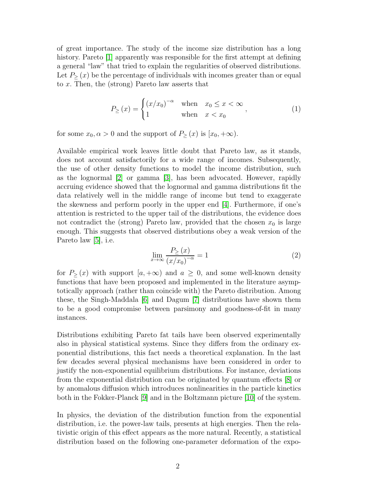of great importance. The study of the income size distribution has a long history. Pareto [\[1\]](#page-13-0) apparently was responsible for the first attempt at defining a general "law" that tried to explain the regularities of observed distributions. Let  $P_{\geq}(x)$  be the percentage of individuals with incomes greater than or equal to x. Then, the (strong) Pareto law asserts that

$$
P_{\geq}(x) = \begin{cases} (x/x_0)^{-\alpha} & \text{when } x_0 \leq x < \infty \\ 1 & \text{when } x < x_0 \end{cases},
$$
 (1)

for some  $x_0, \alpha > 0$  and the support of  $P_>(x)$  is  $[x_0, +\infty)$ .

Available empirical work leaves little doubt that Pareto law, as it stands, does not account satisfactorily for a wide range of incomes. Subsequently, the use of other density functions to model the income distribution, such as the lognormal [\[2\]](#page-13-1) or gamma [\[3\]](#page-13-2), has been advocated. However, rapidly accruing evidence showed that the lognormal and gamma distributions fit the data relatively well in the middle range of income but tend to exaggerate the skewness and perform poorly in the upper end [\[4\]](#page-13-3). Furthermore, if one's attention is restricted to the upper tail of the distributions, the evidence does not contradict the (strong) Pareto law, provided that the chosen  $x_0$  is large enough. This suggests that observed distributions obey a weak version of the Pareto law [\[5\]](#page-13-4), *i.e.* 

<span id="page-1-0"></span>
$$
\lim_{x \to \infty} \frac{P_{\ge}(x)}{\left(x/x_0\right)^{-\alpha}} = 1\tag{2}
$$

for  $P_{\geq}(x)$  with support  $[a, +\infty)$  and  $a \geq 0$ , and some well-known density functions that have been proposed and implemented in the literature asymptotically approach (rather than coincide with) the Pareto distribution. Among these, the Singh-Maddala [\[6\]](#page-13-5) and Dagum [\[7\]](#page-13-6) distributions have shown them to be a good compromise between parsimony and goodness-of-fit in many instances.

Distributions exhibiting Pareto fat tails have been observed experimentally also in physical statistical systems. Since they differs from the ordinary exponential distributions, this fact needs a theoretical explanation. In the last few decades several physical mechanisms have been considered in order to justify the non-exponential equilibrium distributions. For instance, deviations from the exponential distribution can be originated by quantum effects [\[8\]](#page-13-7) or by anomalous diffusion which introduces nonlinearities in the particle kinetics both in the Fokker-Planck [\[9\]](#page-13-8) and in the Boltzmann picture [\[10\]](#page-13-9) of the system.

In physics, the deviation of the distribution function from the exponential distribution, i.e. the power-law tails, presents at high energies. Then the relativistic origin of this effect appears as the more natural. Recently, a statistical distribution based on the following one-parameter deformation of the expo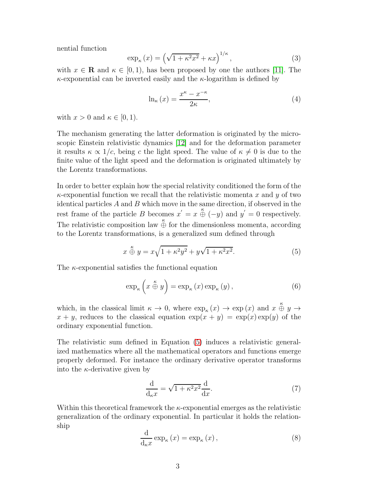nential function

$$
\exp_{\kappa}(x) = \left(\sqrt{1 + \kappa^2 x^2} + \kappa x\right)^{1/\kappa},\tag{3}
$$

with  $x \in \mathbf{R}$  and  $\kappa \in [0, 1)$ , has been proposed by one the authors [\[11\]](#page-14-0). The  $\kappa$ -exponential can be inverted easily and the  $\kappa$ -logarithm is defined by

$$
\ln_{\kappa}(x) = \frac{x^{\kappa} - x^{-\kappa}}{2\kappa},\tag{4}
$$

with  $x > 0$  and  $\kappa \in [0, 1)$ .

The mechanism generating the latter deformation is originated by the microscopic Einstein relativistic dynamics [\[12\]](#page-14-1) and for the deformation parameter it results  $\kappa \propto 1/c$ , being c the light speed. The value of  $\kappa \neq 0$  is due to the finite value of the light speed and the deformation is originated ultimately by the Lorentz transformations.

In order to better explain how the special relativity conditioned the form of the  $\kappa$ -exponential function we recall that the relativistic momenta x and y of two identical particles  $A$  and  $B$  which move in the same direction, if observed in the rest frame of the particle B becomes  $x' = x \oplus (-y)$  and  $y' = 0$  respectively. The relativistic composition law  $\stackrel{\kappa}{\oplus}$  for the dimensionless momenta, according to the Lorentz transformations, is a generalized sum defined through

<span id="page-2-0"></span>
$$
x \stackrel{\kappa}{\oplus} y = x\sqrt{1 + \kappa^2 y^2} + y\sqrt{1 + \kappa^2 x^2}.
$$
 (5)

The  $\kappa$ -exponential satisfies the functional equation

$$
\exp_{\kappa}\left(x\stackrel{\kappa}{\oplus}y\right)=\exp_{\kappa}\left(x\right)\exp_{\kappa}\left(y\right),\tag{6}
$$

which, in the classical limit  $\kappa \to 0$ , where  $\exp_{\kappa}(x) \to \exp(x)$  and  $x \oplus y \to$  $x + y$ , reduces to the classical equation  $exp(x + y) = exp(x) exp(y)$  of the ordinary exponential function.

The relativistic sum defined in Equation [\(5\)](#page-2-0) induces a relativistic generalized mathematics where all the mathematical operators and functions emerge properly deformed. For instance the ordinary derivative operator transforms into the  $\kappa$ -derivative given by

$$
\frac{\mathrm{d}}{\mathrm{d}_{\kappa}x} = \sqrt{1 + \kappa^2 x^2} \frac{\mathrm{d}}{\mathrm{d}x}.\tag{7}
$$

Within this theoretical framework the  $\kappa$ -exponential emerges as the relativistic generalization of the ordinary exponential. In particular it holds the relationship

$$
\frac{\mathrm{d}}{\mathrm{d}_{\kappa}x}\exp_{\kappa}\left(x\right)=\exp_{\kappa}\left(x\right),\tag{8}
$$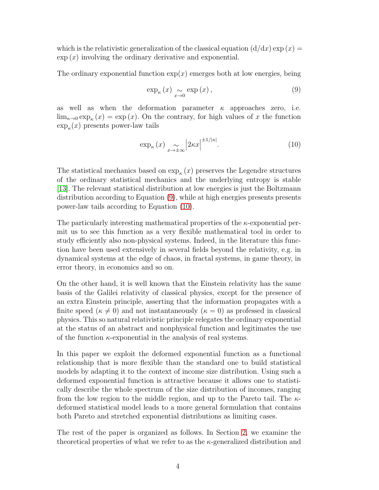which is the relativistic generalization of the classical equation  $(d/dx)$  exp  $(x)$  =  $\exp(x)$  involving the ordinary derivative and exponential.

The ordinary exponential function  $exp(x)$  emerges both at low energies, being

<span id="page-3-0"></span>
$$
\exp_{\kappa}(x) \underset{x \to 0}{\sim} \exp(x), \tag{9}
$$

as well as when the deformation parameter  $\kappa$  approaches zero, i.e.  $\lim_{\kappa \to 0} \exp_{\kappa}(x) = \exp(x)$ . On the contrary, for high values of x the function  $\exp_{\kappa}(x)$  presents power-law tails

<span id="page-3-1"></span>
$$
\exp_{\kappa}(x) \sum_{x \to \pm \infty} \left| 2\kappa x \right|^{\pm 1/|\kappa|}.
$$
 (10)

The statistical mechanics based on  $\exp_{\kappa}(x)$  preserves the Legendre structures of the ordinary statistical mechanics and the underlying entropy is stable [\[13\]](#page-14-2). The relevant statistical distribution at low energies is just the Boltzmann distribution according to Equation [\(9\)](#page-3-0), while at high energies presents presents power-law tails according to Equation [\(10\)](#page-3-1).

The particularly interesting mathematical properties of the  $\kappa$ -exponential permit us to see this function as a very flexible mathematical tool in order to study efficiently also non-physical systems. Indeed, in the literature this function have been used extensively in several fields beyond the relativity, e.g. in dynamical systems at the edge of chaos, in fractal systems, in game theory, in error theory, in economics and so on.

On the other hand, it is well known that the Einstein relativity has the same basis of the Galilei relativity of classical physics, except for the presence of an extra Einstein principle, asserting that the information propagates with a finite speed ( $\kappa \neq 0$ ) and not instantaneously ( $\kappa = 0$ ) as professed in classical physics. This so natural relativistic principle relegates the ordinary exponential at the status of an abstract and nonphysical function and legitimates the use of the function  $\kappa$ -exponential in the analysis of real systems.

In this paper we exploit the deformed exponential function as a functional relationship that is more flexible than the standard one to build statistical models by adapting it to the context of income size distribution. Using such a deformed exponential function is attractive because it allows one to statistically describe the whole spectrum of the size distribution of incomes, ranging from the low region to the middle region, and up to the Pareto tail. The  $\kappa$ deformed statistical model leads to a more general formulation that contains both Pareto and stretched exponential distributions as limiting cases.

The rest of the paper is organized as follows. In Section [2,](#page-4-0) we examine the theoretical properties of what we refer to as the  $\kappa$ -generalized distribution and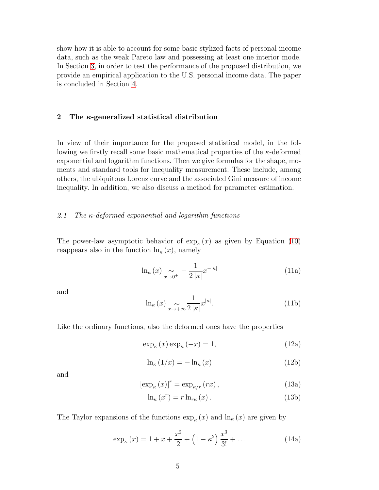show how it is able to account for some basic stylized facts of personal income data, such as the weak Pareto law and possessing at least one interior mode. In Section [3,](#page-10-0) in order to test the performance of the proposed distribution, we provide an empirical application to the U.S. personal income data. The paper is concluded in Section [4.](#page-12-0)

# <span id="page-4-0"></span>2 The  $\kappa$ -generalized statistical distribution

In view of their importance for the proposed statistical model, in the following we firstly recall some basic mathematical properties of the  $\kappa$ -deformed exponential and logarithm functions. Then we give formulas for the shape, moments and standard tools for inequality measurement. These include, among others, the ubiquitous Lorenz curve and the associated Gini measure of income inequality. In addition, we also discuss a method for parameter estimation.

#### 2.1 The κ-deformed exponential and logarithm functions

The power-law asymptotic behavior of  $\exp_{\kappa}(x)$  as given by Equation [\(10\)](#page-3-1) reappears also in the function  $\ln_{\kappa}(x)$ , namely

$$
\ln_{\kappa}(x) \underset{x \to 0^{+}}{\sim} -\frac{1}{2|\kappa|} x^{-|\kappa|}
$$
 (11a)

and

$$
\ln_{\kappa}(x) \sum_{x \to +\infty} \frac{1}{2|\kappa|} x^{|\kappa|}.\tag{11b}
$$

Like the ordinary functions, also the deformed ones have the properties

$$
\exp_{\kappa}(x)\exp_{\kappa}(-x) = 1,\tag{12a}
$$

$$
\ln_{\kappa}(1/x) = -\ln_{\kappa}(x) \tag{12b}
$$

and

$$
\left[\exp_{\kappa}(x)\right]^{r} = \exp_{\kappa/r}(rx),\tag{13a}
$$

$$
\ln_{\kappa} (x^r) = r \ln_{r\kappa} (x). \tag{13b}
$$

The Taylor expansions of the functions  $\exp_{\kappa}(x)$  and  $\ln_{\kappa}(x)$  are given by

$$
\exp_{\kappa}(x) = 1 + x + \frac{x^2}{2} + \left(1 - \kappa^2\right)\frac{x^3}{3!} + \dots
$$
 (14a)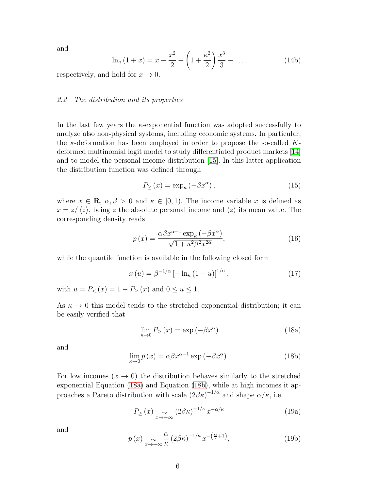and

$$
\ln_{\kappa}(1+x) = x - \frac{x^2}{2} + \left(1 + \frac{\kappa^2}{2}\right)\frac{x^3}{3} - \dots,
$$
\n(14b)

respectively, and hold for  $x \to 0$ .

#### 2.2 The distribution and its properties

In the last few years the  $\kappa$ -exponential function was adopted successfully to analyze also non-physical systems, including economic systems. In particular, the  $\kappa$ -deformation has been employed in order to propose the so-called Kdeformed multinomial logit model to study differentiated product markets [\[14\]](#page-14-3) and to model the personal income distribution [\[15\]](#page-14-4). In this latter application the distribution function was defined through

<span id="page-5-4"></span>
$$
P_{\geq}(x) = \exp_{\kappa}(-\beta x^{\alpha}), \qquad (15)
$$

where  $x \in \mathbf{R}$ ,  $\alpha, \beta > 0$  and  $\kappa \in [0, 1)$ . The income variable x is defined as  $x = z/\langle z \rangle$ , being z the absolute personal income and  $\langle z \rangle$  its mean value. The corresponding density reads

<span id="page-5-3"></span>
$$
p(x) = \frac{\alpha \beta x^{\alpha - 1} \exp_{\kappa}(-\beta x^{\alpha})}{\sqrt{1 + \kappa^2 \beta^2 x^{2\alpha}}},
$$
\n(16)

while the quantile function is available in the following closed form

<span id="page-5-2"></span>
$$
x(u) = \beta^{-1/\alpha} \left[ -\ln_{\kappa} (1-u) \right]^{1/\alpha},\tag{17}
$$

with  $u = P_{\leq}(x) = 1 - P_{\geq}(x)$  and  $0 \leq u \leq 1$ .

As  $\kappa \to 0$  this model tends to the stretched exponential distribution; it can be easily verified that

<span id="page-5-0"></span>
$$
\lim_{\kappa \to 0} P_{\geq}(x) = \exp(-\beta x^{\alpha})
$$
\n(18a)

and

<span id="page-5-1"></span>
$$
\lim_{\kappa \to 0} p(x) = \alpha \beta x^{\alpha - 1} \exp(-\beta x^{\alpha}).
$$
\n(18b)

For low incomes  $(x \to 0)$  the distribution behaves similarly to the stretched exponential Equation [\(18a\)](#page-5-0) and Equation [\(18b\)](#page-5-1), while at high incomes it approaches a Pareto distribution with scale  $(2\beta\kappa)^{-1/\alpha}$  and shape  $\alpha/\kappa$ , i.e.

$$
P_{\geq}(x) \underset{x \to +\infty}{\sim} (2\beta \kappa)^{-1/\kappa} x^{-\alpha/\kappa} \tag{19a}
$$

and

$$
p(x) \underset{x \to +\infty}{\sim} \frac{\alpha}{\kappa} \left(2\beta\kappa\right)^{-1/\kappa} x^{-\left(\frac{\alpha}{\kappa}+1\right)},\tag{19b}
$$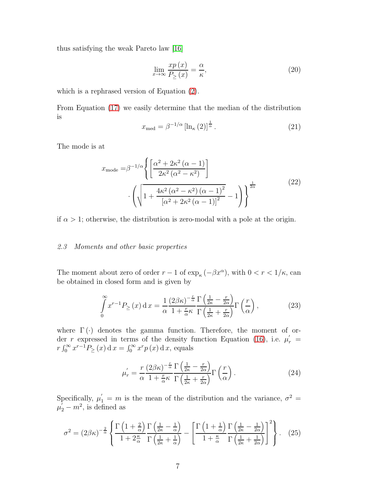thus satisfying the weak Pareto law [\[16\]](#page-14-5)

$$
\lim_{x \to \infty} \frac{xp(x)}{P_{\geq}(x)} = \frac{\alpha}{\kappa},\tag{20}
$$

which is a rephrased version of Equation [\(2\)](#page-1-0).

From Equation [\(17\)](#page-5-2) we easily determine that the median of the distribution is

$$
x_{\text{med}} = \beta^{-1/\alpha} \left[ \ln_{\kappa} (2) \right]^{\frac{1}{\alpha}}.
$$
 (21)

The mode is at

$$
x_{\text{mode}} = \beta^{-1/\alpha} \left\{ \left[ \frac{\alpha^2 + 2\kappa^2 (\alpha - 1)}{2\kappa^2 (\alpha^2 - \kappa^2)} \right] \cdot \left( \sqrt{1 + \frac{4\kappa^2 (\alpha^2 - \kappa^2) (\alpha - 1)^2}{\left[ \alpha^2 + 2\kappa^2 (\alpha - 1) \right]^2}} - 1 \right) \right\}^{\frac{1}{2\alpha}}
$$
(22)

if  $\alpha > 1$ ; otherwise, the distribution is zero-modal with a pole at the origin.

## 2.3 Moments and other basic properties

The moment about zero of order  $r - 1$  of  $\exp_{\kappa}(-\beta x^{\alpha})$ , with  $0 < r < 1/\kappa$ , can be obtained in closed form and is given by

$$
\int_{0}^{\infty} x^{r-1} P_{\geq}(x) dx = \frac{1}{\alpha} \frac{(2\beta \kappa)^{-\frac{r}{\alpha}}}{1 + \frac{r}{\alpha} \kappa} \frac{\Gamma\left(\frac{1}{2\kappa} - \frac{r}{2\alpha}\right)}{\Gamma\left(\frac{1}{2\kappa} + \frac{r}{2\alpha}\right)} \Gamma\left(\frac{r}{\alpha}\right),\tag{23}
$$

where  $\Gamma(\cdot)$  denotes the gamma function. Therefore, the moment of or-der r expressed in terms of the density function Equation [\(16\)](#page-5-3), i.e.  $\mu'_{r}$  =  $r \int_0^\infty x^{r-1} P_{\geq}(x) dx = \int_0^\infty x^r p(x) dx$ , equals

$$
\mu'_{r} = \frac{r}{\alpha} \frac{\left(2\beta\kappa\right)^{-\frac{r}{\alpha}}}{1+\frac{r}{\alpha}\kappa} \frac{\Gamma\left(\frac{1}{2\kappa} - \frac{r}{2\alpha}\right)}{\Gamma\left(\frac{1}{2\kappa} + \frac{r}{2\alpha}\right)} \Gamma\left(\frac{r}{\alpha}\right). \tag{24}
$$

Specifically,  $\mu'_1 = m$  is the mean of the distribution and the variance,  $\sigma^2 =$  $\mu_2^{\prime} - m^2$ , is defined as

$$
\sigma^2 = (2\beta\kappa)^{-\frac{2}{\alpha}} \left\{ \frac{\Gamma\left(1+\frac{2}{\alpha}\right)}{1+2\frac{\kappa}{\alpha}} \frac{\Gamma\left(\frac{1}{2\kappa}-\frac{1}{\alpha}\right)}{\Gamma\left(\frac{1}{2\kappa}+\frac{1}{\alpha}\right)} - \left[\frac{\Gamma\left(1+\frac{1}{\alpha}\right)}{1+\frac{\kappa}{\alpha}} \frac{\Gamma\left(\frac{1}{2\kappa}-\frac{1}{2\alpha}\right)}{\Gamma\left(\frac{1}{2\kappa}+\frac{1}{2\alpha}\right)}\right]^2 \right\}.
$$
 (25)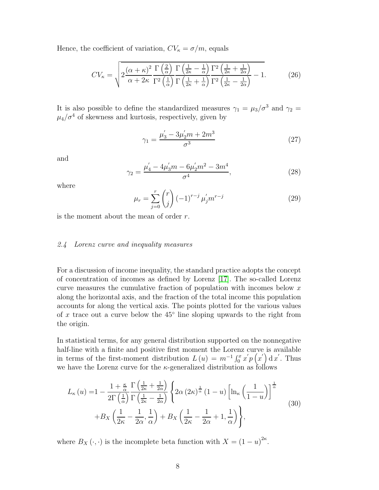Hence, the coefficient of variation,  $CV_{\kappa} = \sigma/m$ , equals

$$
CV_{\kappa} = \sqrt{2\frac{(\alpha + \kappa)^2}{\alpha + 2\kappa} \frac{\Gamma\left(\frac{2}{\alpha}\right)}{\Gamma^2\left(\frac{1}{\alpha}\right)} \frac{\Gamma\left(\frac{1}{2\kappa} - \frac{1}{\alpha}\right)}{\Gamma\left(\frac{1}{2\kappa} + \frac{1}{\alpha}\right)} \frac{\Gamma^2\left(\frac{1}{2\kappa} + \frac{1}{2\alpha}\right)}{\Gamma^2\left(\frac{1}{2\kappa} - \frac{1}{2\alpha}\right)} - 1}.
$$
 (26)

It is also possible to define the standardized measures  $\gamma_1 = \mu_3/\sigma^3$  and  $\gamma_2 =$  $\mu_4/\sigma^4$  of skewness and kurtosis, respectively, given by

$$
\gamma_1 = \frac{\mu_3' - 3\mu_2'm + 2m^3}{\sigma^3} \tag{27}
$$

and

$$
\gamma_2 = \frac{\mu_4 - 4\mu_3 m - 6\mu_2 m^2 - 3m^4}{\sigma^4},\tag{28}
$$

where

$$
\mu_r = \sum_{j=0}^r \binom{r}{j} (-1)^{r-j} \mu'_j m^{r-j} \tag{29}
$$

is the moment about the mean of order r.

### 2.4 Lorenz curve and inequality measures

For a discussion of income inequality, the standard practice adopts the concept of concentration of incomes as defined by Lorenz [\[17\]](#page-14-6). The so-called Lorenz curve measures the cumulative fraction of population with incomes below  $x$ along the horizontal axis, and the fraction of the total income this population accounts for along the vertical axis. The points plotted for the various values of x trace out a curve below the  $45^{\circ}$  line sloping upwards to the right from the origin.

In statistical terms, for any general distribution supported on the nonnegative half-line with a finite and positive first moment the Lorenz curve is available in terms of the first-moment distribution  $L(u) = m^{-1} \int_0^x x' p(x') dx'$ . Thus we have the Lorenz curve for the  $\kappa$ -generalized distribution as follows

<span id="page-7-0"></span>
$$
L_{\kappa}(u) = 1 - \frac{1 + \frac{\kappa}{\alpha} \Gamma\left(\frac{1}{2\kappa} + \frac{1}{2\alpha}\right)}{2\Gamma\left(\frac{1}{\alpha}\right) \Gamma\left(\frac{1}{2\kappa} - \frac{1}{2\alpha}\right)} \left\{ 2\alpha \left(2\kappa\right)^{\frac{1}{\alpha}} (1 - u) \left[ \ln_{\kappa}\left(\frac{1}{1 - u}\right) \right]^{\frac{1}{\alpha}} \right\}
$$
  
+
$$
B_{X}\left(\frac{1}{2\kappa} - \frac{1}{2\alpha}, \frac{1}{\alpha}\right) + B_{X}\left(\frac{1}{2\kappa} - \frac{1}{2\alpha} + 1, \frac{1}{\alpha}\right) \right\},
$$
\n(30)

where  $B_X(\cdot, \cdot)$  is the incomplete beta function with  $X = (1 - u)^{2\kappa}$ .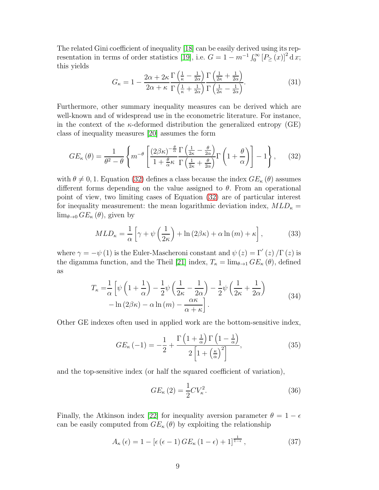The related Gini coefficient of inequality [\[18\]](#page-14-7) can be easily derived using its rep-resentation in terms of order statistics [\[19\]](#page-14-8), i.e.  $G = 1 - m^{-1} \int_0^\infty [P_{\geq}(x)]^2 dx$ ; this yields

<span id="page-8-1"></span>
$$
G_{\kappa} = 1 - \frac{2\alpha + 2\kappa}{2\alpha + \kappa} \frac{\Gamma\left(\frac{1}{\kappa} - \frac{1}{2\alpha}\right)}{\Gamma\left(\frac{1}{\kappa} + \frac{1}{2\alpha}\right)} \frac{\Gamma\left(\frac{1}{2\kappa} + \frac{1}{2\alpha}\right)}{\Gamma\left(\frac{1}{2\kappa} - \frac{1}{2\alpha}\right)}.
$$
(31)

Furthermore, other summary inequality measures can be derived which are well-known and of widespread use in the econometric literature. For instance, in the context of the  $\kappa$ -deformed distribution the generalized entropy (GE) class of inequality measures [\[20\]](#page-14-9) assumes the form

<span id="page-8-0"></span>
$$
GE_{\kappa}(\theta) = \frac{1}{\theta^2 - \theta} \left\{ m^{-\theta} \left[ \frac{(2\beta\kappa)^{-\frac{\theta}{\alpha}}}{1 + \frac{\theta}{\alpha}\kappa} \frac{\Gamma\left(\frac{1}{2\kappa} - \frac{\theta}{2\alpha}\right)}{\Gamma\left(\frac{1}{2\kappa} + \frac{\theta}{2\alpha}\right)} \Gamma\left(1 + \frac{\theta}{\alpha}\right) \right] - 1 \right\}, \quad (32)
$$

with  $\theta \neq 0, 1$ . Equation [\(32\)](#page-8-0) defines a class because the index  $GE_{\kappa} (\theta)$  assumes different forms depending on the value assigned to  $\theta$ . From an operational point of view, two limiting cases of Equation [\(32\)](#page-8-0) are of particular interest for inequality measurement: the mean logarithmic deviation index,  $MLD_{\kappa} =$  $\lim_{\theta \to 0} GE_{\kappa}(\theta)$ , given by

$$
MLD_{\kappa} = \frac{1}{\alpha} \left[ \gamma + \psi \left( \frac{1}{2\kappa} \right) + \ln \left( 2\beta \kappa \right) + \alpha \ln \left( m \right) + \kappa \right],\tag{33}
$$

where  $\gamma = -\psi(1)$  is the Euler-Mascheroni constant and  $\psi(z) = \Gamma'(z)/\Gamma(z)$  is the digamma function, and the Theil [\[21\]](#page-14-10) index,  $T_{\kappa} = \lim_{\theta \to 1} GE_{\kappa}(\theta)$ , defined as

$$
T_{\kappa} = \frac{1}{\alpha} \left[ \psi \left( 1 + \frac{1}{\alpha} \right) - \frac{1}{2} \psi \left( \frac{1}{2\kappa} - \frac{1}{2\alpha} \right) - \frac{1}{2} \psi \left( \frac{1}{2\kappa} + \frac{1}{2\alpha} \right) - \ln \left( 2\beta \kappa \right) - \alpha \ln \left( m \right) - \frac{\alpha \kappa}{\alpha + \kappa} \right].
$$
\n(34)

<span id="page-8-2"></span>Other GE indexes often used in applied work are the bottom-sensitive index,

$$
GE_{\kappa}(-1) = -\frac{1}{2} + \frac{\Gamma\left(1 + \frac{1}{\alpha}\right)\Gamma\left(1 - \frac{1}{\alpha}\right)}{2\left[1 + \left(\frac{\kappa}{\alpha}\right)^2\right]},\tag{35}
$$

and the top-sensitive index (or half the squared coefficient of variation),

$$
GE_{\kappa}(2) = \frac{1}{2}CV_{\kappa}^{2}.
$$
\n
$$
(36)
$$

Finally, the Atkinson index [\[22\]](#page-14-11) for inequality aversion parameter  $\theta = 1 - \epsilon$ can be easily computed from  $GE_{\kappa}(\theta)$  by exploiting the relationship

$$
A_{\kappa}(\epsilon) = 1 - \left[\epsilon(\epsilon - 1) \, GE_{\kappa}(1 - \epsilon) + 1\right]^{\frac{1}{1 - \epsilon}},\tag{37}
$$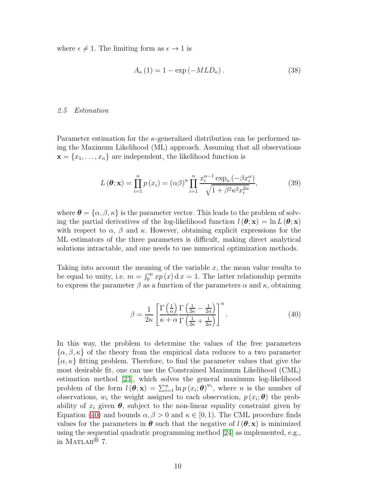where  $\epsilon \neq 1$ . The limiting form as  $\epsilon \rightarrow 1$  is

$$
A_{\kappa}(1) = 1 - \exp(-MLD_{\kappa}).
$$
\n(38)

### <span id="page-9-1"></span>2.5 Estimation

Parameter estimation for the κ-generalized distribution can be performed using the Maximum Likelihood (ML) approach. Assuming that all observations  $\mathbf{x} = \{x_1, \ldots, x_n\}$  are independent, the likelihood function is

$$
L(\boldsymbol{\theta}; \mathbf{x}) = \prod_{i=1}^{n} p(x_i) = (\alpha \beta)^n \prod_{i=1}^{n} \frac{x_i^{\alpha - 1} \exp_{\kappa}(-\beta x_i^{\alpha})}{\sqrt{1 + \beta^2 \kappa^2 x_i^{2\alpha}}},
$$
(39)

where  $\boldsymbol{\theta} = {\alpha, \beta, \kappa}$  is the parameter vector. This leads to the problem of solving the partial derivatives of the log-likelihood function  $l(\theta; \mathbf{x}) = \ln L(\theta; \mathbf{x})$ with respect to  $\alpha$ ,  $\beta$  and  $\kappa$ . However, obtaining explicit expressions for the ML estimators of the three parameters is difficult, making direct analytical solutions intractable, and one needs to use numerical optimization methods.

Taking into account the meaning of the variable  $x$ , the mean value results to be equal to unity, i.e.  $m = \int_0^\infty x p(x) dx = 1$ . The latter relationship permits to express the parameter  $\beta$  as a function of the parameters  $\alpha$  and  $\kappa$ , obtaining

<span id="page-9-0"></span>
$$
\beta = \frac{1}{2\kappa} \left[ \frac{\Gamma\left(\frac{1}{\alpha}\right) \Gamma\left(\frac{1}{2\kappa} - \frac{1}{2\alpha}\right)}{\kappa + \alpha \Gamma\left(\frac{1}{2\kappa} + \frac{1}{2\alpha}\right)} \right]^{\alpha} . \tag{40}
$$

In this way, the problem to determine the values of the free parameters  $\{\alpha, \beta, \kappa\}$  of the theory from the empirical data reduces to a two parameter  $\{\alpha, \kappa\}$  fitting problem. Therefore, to find the parameter values that give the most desirable fit, one can use the Constrained Maximum Likelihood (CML) estimation method [\[23\]](#page-14-12), which solves the general maximum log-likelihood problem of the form  $l(\boldsymbol{\theta}; \mathbf{x}) = \sum_{i=1}^n \ln p(x_i; \boldsymbol{\theta})^{w_i}$ , where *n* is the number of observations,  $w_i$  the weight assigned to each observation,  $p(x_i; \theta)$  the probability of  $x_i$  given  $\theta$ , subject to the non-linear equality constraint given by Equation [\(40\)](#page-9-0) and bounds  $\alpha, \beta > 0$  and  $\kappa \in [0, 1)$ . The CML procedure finds values for the parameters in  $\boldsymbol{\theta}$  such that the negative of  $l(\boldsymbol{\theta};\mathbf{x})$  is minimized using the sequential quadratic programming method [\[24\]](#page-14-13) as implemented, e.g., in MATLAB<sup>®</sup> 7.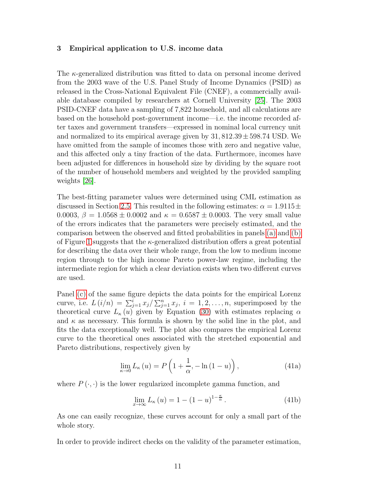#### <span id="page-10-0"></span>3 Empirical application to U.S. income data

The  $\kappa$ -generalized distribution was fitted to data on personal income derived from the 2003 wave of the U.S. Panel Study of Income Dynamics (PSID) as released in the Cross-National Equivalent File (CNEF), a commercially available database compiled by researchers at Cornell University [\[25\]](#page-14-14). The 2003 PSID-CNEF data have a sampling of 7,822 household, and all calculations are based on the household post-government income—i.e. the income recorded after taxes and government transfers—expressed in nominal local currency unit and normalized to its empirical average given by  $31,812.39 \pm 598.74$  USD. We have omitted from the sample of incomes those with zero and negative value, and this affected only a tiny fraction of the data. Furthermore, incomes have been adjusted for differences in household size by dividing by the square root of the number of household members and weighted by the provided sampling weights [\[26\]](#page-14-15).

The best-fitting parameter values were determined using CML estimation as discussed in Section [2.5.](#page-9-1) This resulted in the following estimates:  $\alpha = 1.9115 \pm$ 0.0003,  $\beta = 1.0568 \pm 0.0002$  and  $\kappa = 0.6587 \pm 0.0003$ . The very small value of the errors indicates that the parameters were precisely estimated, and the comparison between the observed and fitted probabilities in panels [\(a\)](#page-11-0) and [\(b\)](#page-11-1) of Figure [1](#page-11-2) suggests that the  $\kappa$ -generalized distribution offers a great potential for describing the data over their whole range, from the low to medium income region through to the high income Pareto power-law regime, including the intermediate region for which a clear deviation exists when two different curves are used.

Panel [\(c\)](#page-11-3) of the same figure depicts the data points for the empirical Lorenz curve, i.e.  $L(i/n) = \sum_{j=1}^{i} x_j / \sum_{j=1}^{n} x_j$ ,  $i = 1, 2, ..., n$ , superimposed by the theoretical curve  $L_{\kappa}(u)$  given by Equation [\(30\)](#page-7-0) with estimates replacing  $\alpha$ and  $\kappa$  as necessary. This formula is shown by the solid line in the plot, and fits the data exceptionally well. The plot also compares the empirical Lorenz curve to the theoretical ones associated with the stretched exponential and Pareto distributions, respectively given by

<span id="page-10-1"></span>
$$
\lim_{\kappa \to 0} L_{\kappa}(u) = P\left(1 + \frac{1}{\alpha}, -\ln(1 - u)\right),\tag{41a}
$$

where  $P(\cdot, \cdot)$  is the lower regularized incomplete gamma function, and

<span id="page-10-2"></span>
$$
\lim_{x \to \infty} L_{\kappa}(u) = 1 - (1 - u)^{1 - \frac{\kappa}{\alpha}}.
$$
\n(41b)

As one can easily recognize, these curves account for only a small part of the whole story.

In order to provide indirect checks on the validity of the parameter estimation,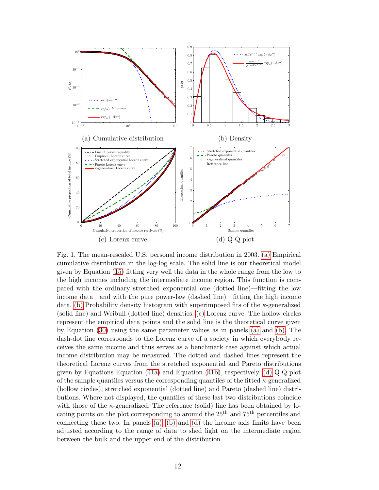<span id="page-11-1"></span>PSfrag replacements

<span id="page-11-0"></span>

<span id="page-11-4"></span><span id="page-11-3"></span><span id="page-11-2"></span>Fig. 1. The mean-rescaled U.S. personal income distribution in 2003. [\(a\)](#page-11-0) Empirical cumulative distribution in the log-log scale. The solid line is our theoretical model given by Equation [\(15\)](#page-5-4) fitting very well the data in the whole range from the low to the high incomes including the intermediate income region. This function is compared with the ordinary stretched exponential one (dotted line)—fitting the low income data—and with the pure power-law (dashed line)—fitting the high income data. [\(b\)](#page-11-1) Probability density histogram with superimposed fits of the  $\kappa$ -generalized (solid line) and Weibull (dotted line) densities. [\(c\)](#page-11-3) Lorenz curve. The hollow circles represent the empirical data points and the solid line is the theoretical curve given by Equation [\(30\)](#page-7-0) using the same parameter values as in panels [\(a\)](#page-11-0) and [\(b\).](#page-11-1) The dash-dot line corresponds to the Lorenz curve of a society in which everybody receives the same income and thus serves as a benchmark case against which actual income distribution may be measured. The dotted and dashed lines represent the theoretical Lorenz curves from the stretched exponential and Pareto distributions given by Equations Equation [\(41a\)](#page-10-1) and Equation [\(41b\)](#page-10-2), respectively. [\(d\)](#page-11-4)  $Q-Q$  plot of the sample quantiles versus the corresponding quantiles of the fitted  $\kappa$ -generalized (hollow circles), stretched exponential (dotted line) and Pareto (dashed line) distributions. Where not displayed, the quantiles of these last two distributions coincide with those of the  $\kappa$ -generalized. The reference (solid) line has been obtained by locating points on the plot corresponding to around the  $25<sup>th</sup>$  and  $75<sup>th</sup>$  percentiles and connecting these two. In panels [\(a\),](#page-11-0) [\(b\)](#page-11-1) and [\(d\)](#page-11-4) the income axis limits have been adjusted according to the range of data to shed light on the intermediate region between the bulk and the upper end of the distribution.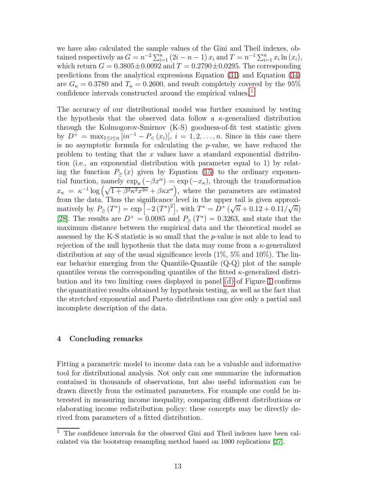we have also calculated the sample values of the Gini and Theil indexes, obtained respectively as  $G = n^{-2} \sum_{i=1}^{n} (2i - n - 1) x_i$  and  $T = n^{-1} \sum_{i=1}^{n} x_i \ln(x_i)$ , which return  $G = 0.3805 \pm 0.0092$  and  $T = 0.2790 \pm 0.0295$ . The corresponding predictions from the analytical expressions Equation [\(31\)](#page-8-1) and Equation [\(34\)](#page-8-2) are  $G_{\kappa} = 0.3780$  and  $T_{\kappa} = 0.2600$ , and result completely covered by the 95% confidence intervals constructed around the empirical values. [1](#page-12-1)

The accuracy of our distributional model was further examined by testing the hypothesis that the observed data follow a  $\kappa$ -generalized distribution through the Kolmogorov-Smirnov (K-S) goodness-of-fit test statistic given by  $D^{+} = \max_{1 \leq i \leq n} [in^{-1} - P_{<}(x_i)], i = 1, 2, ..., n$ . Since in this case there is no asymptotic formula for calculating the p-value, we have reduced the problem to testing that the x values have a standard exponential distribution (i.e., an exponential distribution with parameter equal to 1) by relating the function  $P_{>}(x)$  given by Equation [\(15\)](#page-5-4) to the ordinary exponential function, namely  $\exp_{\kappa}(-\beta x^{\alpha}) = \exp(-x_{\kappa})$ , through the transformation  $x_{\kappa} = \kappa^{-1} \log \left( \sqrt{1 + \beta^2 \kappa^2 x^{2\alpha}} + \beta \kappa x^{\alpha} \right)$ , where the parameters are estimated from the data. Thus the significance level in the upper tail is given approximatively by  $P_{\geq}(T^*) = \exp \left[-2(T^*)^2\right]$ , with  $T^* = D^+ \left(\sqrt{n} + 0.12 + 0.11/\sqrt{n}\right)$ [\[28\]](#page-14-16). The results are  $D^{+} = 0.0085$  and  $P_>(T^*) = 0.3263$ , and state that the maximum distance between the empirical data and the theoretical model as assessed by the K-S statistic is so small that the p-value is not able to lead to rejection of the null hypothesis that the data may come from a  $\kappa$ -generalized distribution at any of the usual significance levels  $(1\%, 5\% \text{ and } 10\%)$ . The linear behavior emerging from the Quantile-Quantile (Q-Q) plot of the sample quantiles versus the corresponding quantiles of the fitted  $\kappa$ -generalized distribution and its two limiting cases displayed in panel [\(d\)](#page-11-4) of Figure [1](#page-11-2) confirms the quantitative results obtained by hypothesis testing, as well as the fact that the stretched exponential and Pareto distributions can give only a partial and incomplete description of the data.

# <span id="page-12-0"></span>4 Concluding remarks

Fitting a parametric model to income data can be a valuable and informative tool for distributional analysis. Not only can one summarize the information contained in thousands of observations, but also useful information can be drawn directly from the estimated parameters. For example one could be interested in measuring income inequality, comparing different distributions or elaborating income redistribution policy: these concepts may be directly derived from parameters of a fitted distribution.

<span id="page-12-1"></span> $\overline{1}$  The confidence intervals for the observed Gini and Theil indexes have been calculated via the bootstrap resampling method based on 1000 replications [\[27\]](#page-14-17).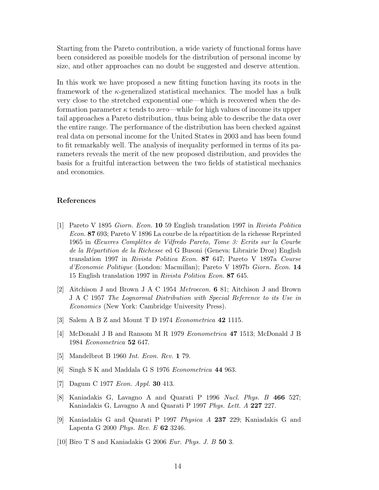Starting from the Pareto contribution, a wide variety of functional forms have been considered as possible models for the distribution of personal income by size, and other approaches can no doubt be suggested and deserve attention.

In this work we have proposed a new fitting function having its roots in the framework of the  $\kappa$ -generalized statistical mechanics. The model has a bulk very close to the stretched exponential one—which is recovered when the deformation parameter  $\kappa$  tends to zero—while for high values of income its upper tail approaches a Pareto distribution, thus being able to describe the data over the entire range. The performance of the distribution has been checked against real data on personal income for the United States in 2003 and has been found to fit remarkably well. The analysis of inequality performed in terms of its parameters reveals the merit of the new proposed distribution, and provides the basis for a fruitful interaction between the two fields of statistical mechanics and economics.

# <span id="page-13-0"></span>References

- [1] Pareto V 1895 *Giorn. Econ.* 10 59 English translation 1997 in *Rivista Politica Econ.* 87 693; Pareto V 1896 La courbe de la répartition de la richesse Reprinted 1965 in *Œeuvres Compl`etes de Vilfredo Pareto, Tome 3: Ecrits sur la Courbe de la R´epartition de la Richesse* ed G Busoni (Geneva: Librairie Droz) English translation 1997 in *Rivista Politica Econ.* 87 647; Pareto V 1897a *Course d'Economie Politique* (London: Macmillan); Pareto V 1897b *Giorn. Econ.* 14 15 English translation 1997 in *Rivista Politica Econ.* 87 645.
- <span id="page-13-1"></span>[2] Aitchison J and Brown J A C 1954 *Metroecon.* 6 81; Aitchison J and Brown J A C 1957 *The Lognormal Distribution with Special Reference to its Use in Economics* (New York: Cambridge University Press).
- <span id="page-13-3"></span><span id="page-13-2"></span>[3] Salem A B Z and Mount T D 1974 *Econometrica* 42 1115.
- <span id="page-13-4"></span>[4] McDonald J B and Ransom M R 1979 *Econometrica* 47 1513; McDonald J B 1984 *Econometrica* 52 647.
- <span id="page-13-5"></span>[5] Mandelbrot B 1960 *Int. Econ. Rev.* 1 79.
- <span id="page-13-6"></span>[6] Singh S K and Maddala G S 1976 *Econometrica* 44 963.
- <span id="page-13-7"></span>[7] Dagum C 1977 *Econ. Appl.* 30 413.
- [8] Kaniadakis G, Lavagno A and Quarati P 1996 *Nucl. Phys. B* 466 527; Kaniadakis G, Lavagno A and Quarati P 1997 *Phys. Lett. A* 227 227.
- <span id="page-13-8"></span>[9] Kaniadakis G and Quarati P 1997 *Physica A* 237 229; Kaniadakis G and Lapenta G 2000 *Phys. Rev. E* 62 3246.
- <span id="page-13-9"></span>[10] Biro T S and Kaniadakis G 2006 *Eur. Phys. J. B* 50 3.